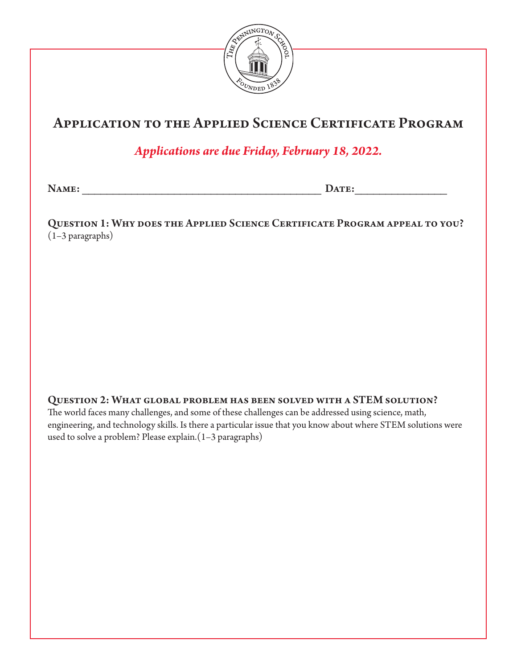

## Application to the Applied Science Certificate Program

*Applications are due Friday, February 18, 2022.*

Name: \_\_\_\_\_\_\_\_\_\_\_\_\_\_\_\_\_\_\_\_\_\_\_\_\_\_\_\_\_\_\_\_\_\_\_\_\_\_\_ Date:\_\_\_\_\_\_\_\_\_\_\_\_\_\_\_

Question 1: Why does the Applied Science Certificate Program appeal to you? (1–3 paragraphs)

Question 2: What global problem has been solved with a STEM solution?

The world faces many challenges, and some of these challenges can be addressed using science, math, engineering, and technology skills. Is there a particular issue that you know about where STEM solutions were used to solve a problem? Please explain.(1–3 paragraphs)